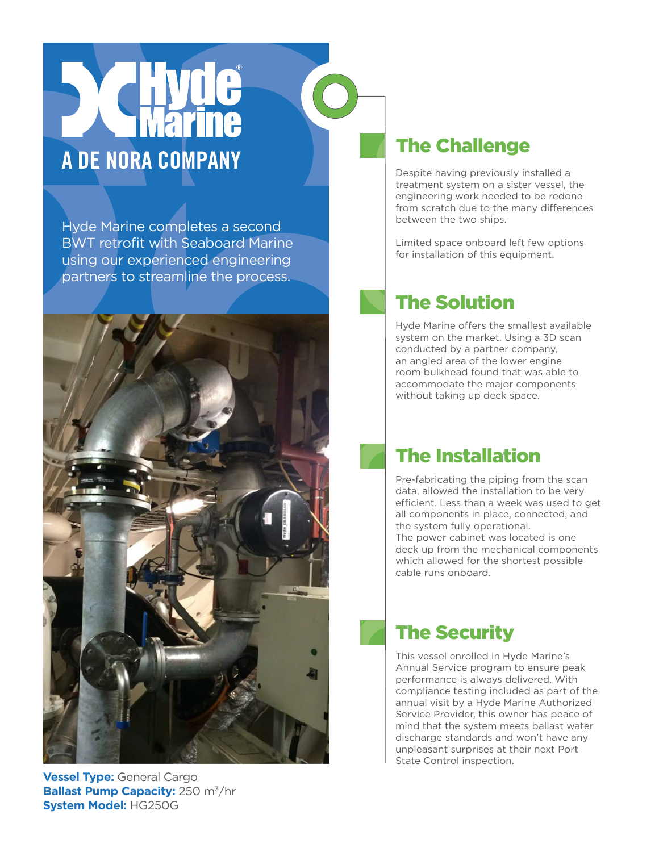# A DE NORA COMPANY

Hyde Marine completes a second BWT retrofit with Seaboard Marine using our experienced engineering partners to streamline the process.



**Vessel Type:** General Cargo **Ballast Pump Capacity:** 250 m<sup>3</sup>/hr **System Model:** HG250G

# The Challenge

Despite having previously installed a treatment system on a sister vessel, the engineering work needed to be redone from scratch due to the many differences between the two ships.

Limited space onboard left few options for installation of this equipment.

# The Solution

Hyde Marine offers the smallest available system on the market. Using a 3D scan conducted by a partner company, an angled area of the lower engine room bulkhead found that was able to accommodate the major components without taking up deck space.

### The Installation

Pre-fabricating the piping from the scan data, allowed the installation to be very efficient. Less than a week was used to get all components in place, connected, and the system fully operational. The power cabinet was located is one deck up from the mechanical components which allowed for the shortest possible cable runs onboard.

### The Security

This vessel enrolled in Hyde Marine's Annual Service program to ensure peak performance is always delivered. With compliance testing included as part of the annual visit by a Hyde Marine Authorized Service Provider, this owner has peace of mind that the system meets ballast water discharge standards and won't have any unpleasant surprises at their next Port State Control inspection.